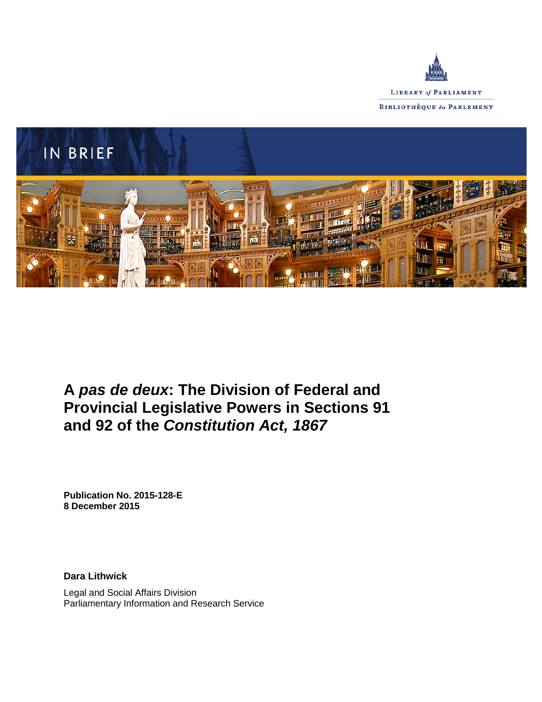



# **A** *pas de deux***: The Division of Federal and Provincial Legislative Powers in Sections 91 and 92 of the** *Constitution Act, 1867*

**Publication No. 2015-128-E 8 December 2015**

**Dara Lithwick**

Legal and Social Affairs Division Parliamentary Information and Research Service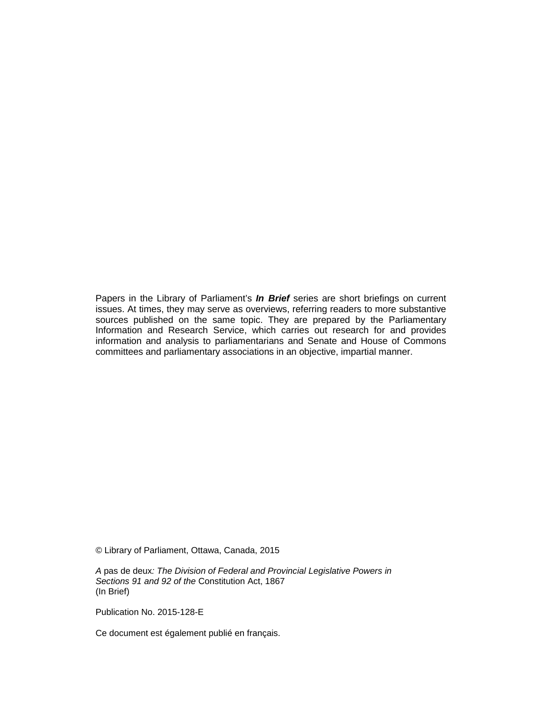Papers in the Library of Parliament's *In Brief* series are short briefings on current issues. At times, they may serve as overviews, referring readers to more substantive sources published on the same topic. They are prepared by the Parliamentary Information and Research Service, which carries out research for and provides information and analysis to parliamentarians and Senate and House of Commons committees and parliamentary associations in an objective, impartial manner.

© Library of Parliament, Ottawa, Canada, 2015

*A* pas de deux*: The Division of Federal and Provincial Legislative Powers in Sections 91 and 92 of the* Constitution Act, 1867 (In Brief)

Publication No. 2015-128-E

Ce document est également publié en français.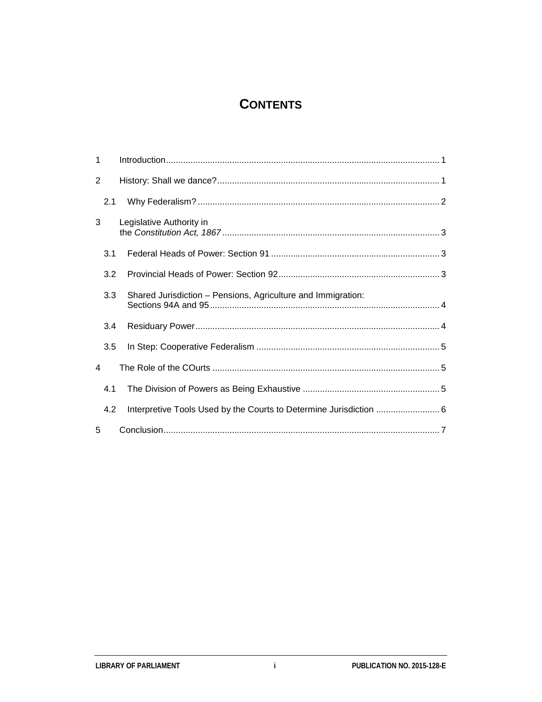# **CONTENTS**

| 1 |     |                                                                    |  |
|---|-----|--------------------------------------------------------------------|--|
| 2 |     |                                                                    |  |
|   | 2.1 |                                                                    |  |
| 3 |     | Legislative Authority in                                           |  |
|   | 3.1 |                                                                    |  |
|   | 3.2 |                                                                    |  |
|   | 3.3 | Shared Jurisdiction - Pensions, Agriculture and Immigration:       |  |
|   | 3.4 |                                                                    |  |
|   | 3.5 |                                                                    |  |
| 4 |     |                                                                    |  |
|   | 4.1 |                                                                    |  |
|   | 4.2 | Interpretive Tools Used by the Courts to Determine Jurisdiction  6 |  |
| 5 |     |                                                                    |  |

 $\mathbf{i}$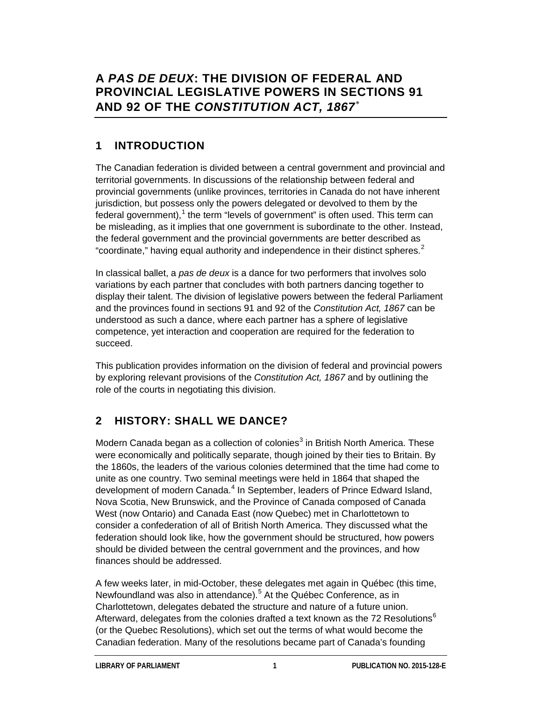# **A** *PAS DE DEUX***: THE DIVISION OF FEDERAL AND PROVINCIAL LEGISLATIVE POWERS IN SECTIONS 91 AND 92 OF THE** *CONSTITUTION ACT, 1867*[∗](#page-9-0)

# **1 INTRODUCTION**

The Canadian federation is divided between a central government and provincial and territorial governments. In discussions of the relationship between federal and provincial governments (unlike provinces, territories in Canada do not have inherent jurisdiction, but possess only the powers delegated or devolved to them by the federal government), $^{\text{1}}$  $^{\text{1}}$  $^{\text{1}}$  the term "levels of government" is often used. This term can be misleading, as it implies that one government is subordinate to the other. Instead, the federal government and the provincial governments are better described as "coordinate," having equal authority and independence in their distinct spheres. $^2$  $^2$ 

In classical ballet, a *pas de deux* is a dance for two performers that involves solo variations by each partner that concludes with both partners dancing together to display their talent. The division of legislative powers between the federal Parliament and the provinces found in sections 91 and 92 of the *Constitution Act, 1867* can be understood as such a dance, where each partner has a sphere of legislative competence, yet interaction and cooperation are required for the federation to succeed.

This publication provides information on the division of federal and provincial powers by exploring relevant provisions of the *Constitution Act, 1867* and by outlining the role of the courts in negotiating this division.

# **2 HISTORY: SHALL WE DANCE?**

Modern Canada began as a collection of colonies<sup>[3](#page-9-3)</sup> in British North America. These were economically and politically separate, though joined by their ties to Britain. By the 1860s, the leaders of the various colonies determined that the time had come to unite as one country. Two seminal meetings were held in 1864 that shaped the development of modern Canada.<sup>[4](#page-9-4)</sup> In September, leaders of Prince Edward Island, Nova Scotia, New Brunswick, and the Province of Canada composed of Canada West (now Ontario) and Canada East (now Quebec) met in Charlottetown to consider a confederation of all of British North America. They discussed what the federation should look like, how the government should be structured, how powers should be divided between the central government and the provinces, and how finances should be addressed.

A few weeks later, in mid-October, these delegates met again in Québec (this time, Newfoundland was also in attendance).<sup>[5](#page-9-5)</sup> At the Québec Conference, as in Charlottetown, delegates debated the structure and nature of a future union. Afterward, delegates from the colonies drafted a text known as the 72 Resolutions<sup>[6](#page-9-6)</sup> (or the Quebec Resolutions), which set out the terms of what would become the Canadian federation. Many of the resolutions became part of Canada's founding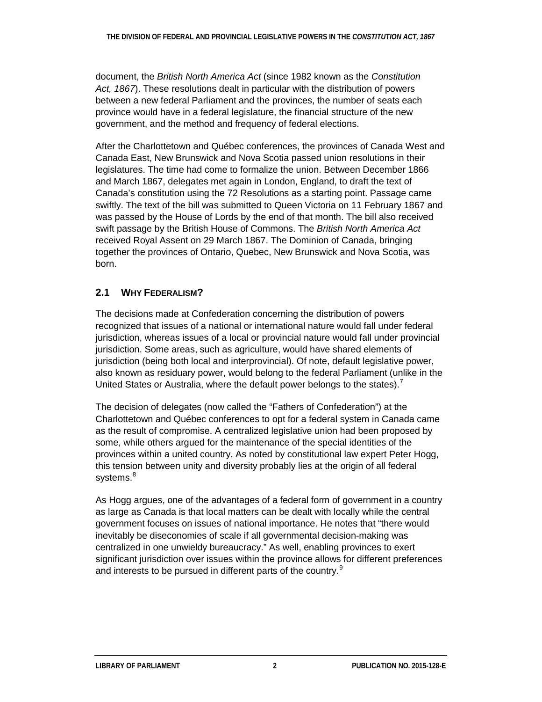document, the *British North America Act* (since 1982 known as the *Constitution Act, 1867*). These resolutions dealt in particular with the distribution of powers between a new federal Parliament and the provinces, the number of seats each province would have in a federal legislature, the financial structure of the new government, and the method and frequency of federal elections.

After the Charlottetown and Québec conferences, the provinces of Canada West and Canada East, New Brunswick and Nova Scotia passed union resolutions in their legislatures. The time had come to formalize the union. Between December 1866 and March 1867, delegates met again in London, England, to draft the text of Canada's constitution using the 72 Resolutions as a starting point. Passage came swiftly. The text of the bill was submitted to Queen Victoria on 11 February 1867 and was passed by the House of Lords by the end of that month. The bill also received swift passage by the British House of Commons. The *British North America Act*  received Royal Assent on 29 March 1867. The Dominion of Canada, bringing together the provinces of Ontario, Quebec, New Brunswick and Nova Scotia, was born.

#### **2.1 WHY FEDERALISM?**

The decisions made at Confederation concerning the distribution of powers recognized that issues of a national or international nature would fall under federal jurisdiction, whereas issues of a local or provincial nature would fall under provincial jurisdiction. Some areas, such as agriculture, would have shared elements of jurisdiction (being both local and interprovincial). Of note, default legislative power, also known as residuary power, would belong to the federal Parliament (unlike in the United States or Australia, where the default power belongs to the states).<sup>[7](#page-9-7)</sup>

The decision of delegates (now called the "Fathers of Confederation") at the Charlottetown and Québec conferences to opt for a federal system in Canada came as the result of compromise. A centralized legislative union had been proposed by some, while others argued for the maintenance of the special identities of the provinces within a united country. As noted by constitutional law expert Peter Hogg, this tension between unity and diversity probably lies at the origin of all federal systems.<sup>[8](#page-9-8)</sup>

As Hogg argues, one of the advantages of a federal form of government in a country as large as Canada is that local matters can be dealt with locally while the central government focuses on issues of national importance. He notes that "there would inevitably be diseconomies of scale if all governmental decision-making was centralized in one unwieldy bureaucracy." As well, enabling provinces to exert significant jurisdiction over issues within the province allows for different preferences and interests to be pursued in different parts of the country.<sup>[9](#page-9-9)</sup>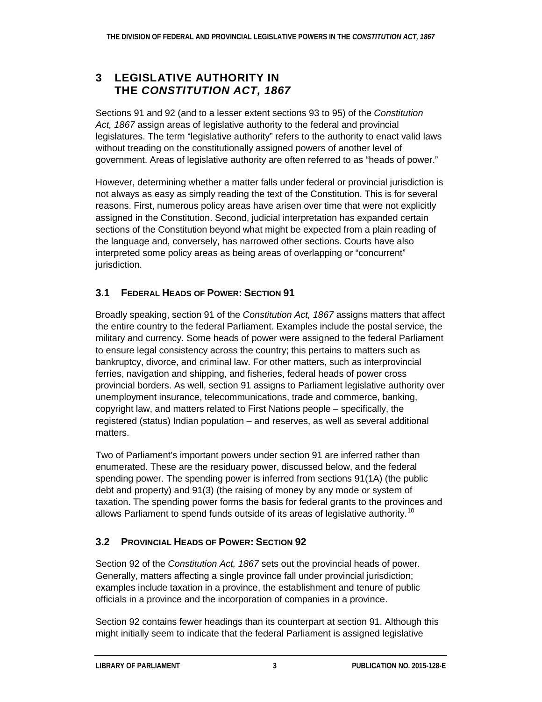### **3 LEGISLATIVE AUTHORITY IN THE** *CONSTITUTION ACT, 1867*

Sections 91 and 92 (and to a lesser extent sections 93 to 95) of the *Constitution Act, 1867* assign areas of legislative authority to the federal and provincial legislatures. The term "legislative authority" refers to the authority to enact valid laws without treading on the constitutionally assigned powers of another level of government. Areas of legislative authority are often referred to as "heads of power."

However, determining whether a matter falls under federal or provincial jurisdiction is not always as easy as simply reading the text of the Constitution. This is for several reasons. First, numerous policy areas have arisen over time that were not explicitly assigned in the Constitution. Second, judicial interpretation has expanded certain sections of the Constitution beyond what might be expected from a plain reading of the language and, conversely, has narrowed other sections. Courts have also interpreted some policy areas as being areas of overlapping or "concurrent" jurisdiction.

### **3.1 FEDERAL HEADS OF POWER: SECTION 91**

Broadly speaking, section 91 of the *Constitution Act, 1867* assigns matters that affect the entire country to the federal Parliament. Examples include the postal service, the military and currency. Some heads of power were assigned to the federal Parliament to ensure legal consistency across the country; this pertains to matters such as bankruptcy, divorce, and criminal law. For other matters, such as interprovincial ferries, navigation and shipping, and fisheries, federal heads of power cross provincial borders. As well, section 91 assigns to Parliament legislative authority over unemployment insurance, telecommunications, trade and commerce, banking, copyright law, and matters related to First Nations people – specifically, the registered (status) Indian population – and reserves, as well as several additional matters.

Two of Parliament's important powers under section 91 are inferred rather than enumerated. These are the residuary power, discussed below, and the federal spending power. The spending power is inferred from sections 91(1A) (the public debt and property) and 91(3) (the raising of money by any mode or system of taxation. The spending power forms the basis for federal grants to the provinces and allows Parliament to spend funds outside of its areas of legislative authority.<sup>[10](#page-9-10)</sup>

### **3.2 PROVINCIAL HEADS OF POWER: SECTION 92**

Section 92 of the *Constitution Act, 1867* sets out the provincial heads of power. Generally, matters affecting a single province fall under provincial jurisdiction; examples include taxation in a province, the establishment and tenure of public officials in a province and the incorporation of companies in a province.

Section 92 contains fewer headings than its counterpart at section 91. Although this might initially seem to indicate that the federal Parliament is assigned legislative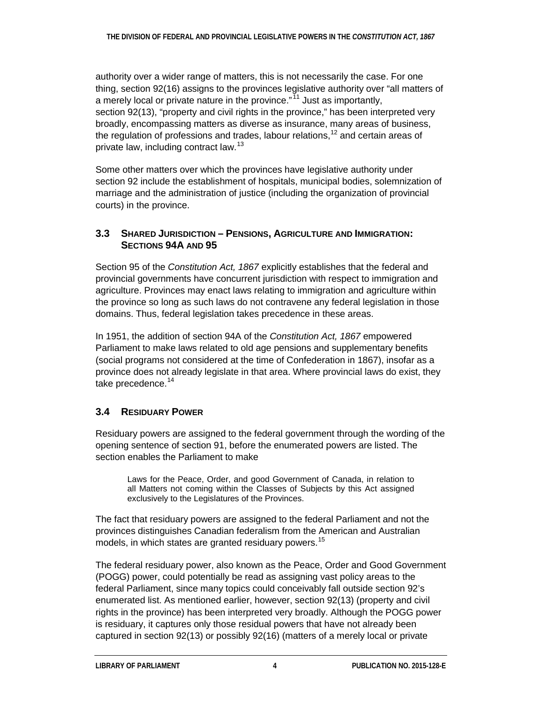authority over a wider range of matters, this is not necessarily the case. For one thing, section 92(16) assigns to the provinces legislative authority over "all matters of a merely local or private nature in the province."<sup>[11](#page-9-11)</sup> Just as importantly, section 92(13), "property and civil rights in the province," has been interpreted very broadly, encompassing matters as diverse as insurance, many areas of business, the regulation of professions and trades, labour relations,<sup>[12](#page-9-12)</sup> and certain areas of private law, including contract law.<sup>[13](#page-9-13)</sup>

Some other matters over which the provinces have legislative authority under section 92 include the establishment of hospitals, municipal bodies, solemnization of marriage and the administration of justice (including the organization of provincial courts) in the province.

#### **3.3 SHARED JURISDICTION – PENSIONS, AGRICULTURE AND IMMIGRATION: SECTIONS 94A AND 95**

Section 95 of the *Constitution Act, 1867* explicitly establishes that the federal and provincial governments have concurrent jurisdiction with respect to immigration and agriculture. Provinces may enact laws relating to immigration and agriculture within the province so long as such laws do not contravene any federal legislation in those domains. Thus, federal legislation takes precedence in these areas.

In 1951, the addition of section 94A of the *Constitution Act, 1867* empowered Parliament to make laws related to old age pensions and supplementary benefits (social programs not considered at the time of Confederation in 1867), insofar as a province does not already legislate in that area. Where provincial laws do exist, they take precedence.<sup>[14](#page-10-0)</sup>

### **3.4 RESIDUARY POWER**

Residuary powers are assigned to the federal government through the wording of the opening sentence of section 91, before the enumerated powers are listed. The section enables the Parliament to make

Laws for the Peace, Order, and good Government of Canada, in relation to all Matters not coming within the Classes of Subjects by this Act assigned exclusively to the Legislatures of the Provinces.

The fact that residuary powers are assigned to the federal Parliament and not the provinces distinguishes Canadian federalism from the American and Australian models, in which states are granted residuary powers.<sup>[15](#page-10-1)</sup>

The federal residuary power, also known as the Peace, Order and Good Government (POGG) power, could potentially be read as assigning vast policy areas to the federal Parliament, since many topics could conceivably fall outside section 92's enumerated list. As mentioned earlier, however, section 92(13) (property and civil rights in the province) has been interpreted very broadly. Although the POGG power is residuary, it captures only those residual powers that have not already been captured in section 92(13) or possibly 92(16) (matters of a merely local or private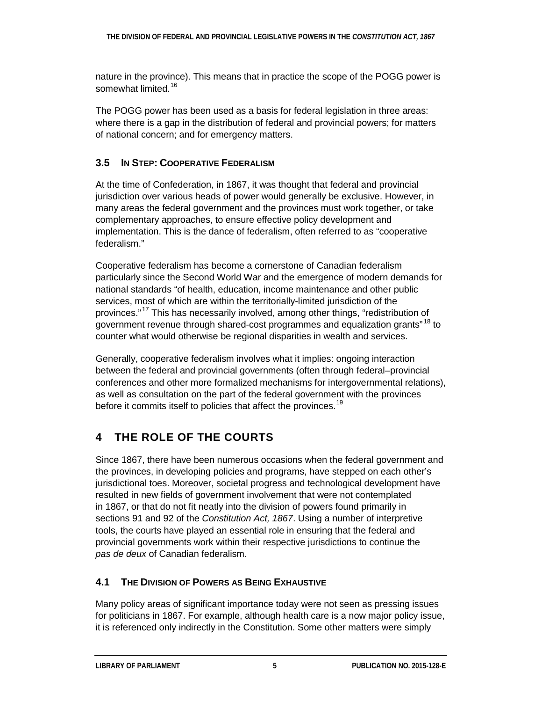nature in the province). This means that in practice the scope of the POGG power is somewhat limited.<sup>[16](#page-10-2)</sup>

The POGG power has been used as a basis for federal legislation in three areas: where there is a gap in the distribution of federal and provincial powers; for matters of national concern; and for emergency matters.

#### **3.5 IN STEP: COOPERATIVE FEDERALISM**

At the time of Confederation, in 1867, it was thought that federal and provincial jurisdiction over various heads of power would generally be exclusive. However, in many areas the federal government and the provinces must work together, or take complementary approaches, to ensure effective policy development and implementation. This is the dance of federalism, often referred to as "cooperative federalism."

Cooperative federalism has become a cornerstone of Canadian federalism particularly since the Second World War and the emergence of modern demands for national standards "of health, education, income maintenance and other public services, most of which are within the territorially-limited jurisdiction of the provinces."<sup>[17](#page-10-3)</sup> This has necessarily involved, among other things, "redistribution of government revenue through shared-cost programmes and equalization grants"<sup>[18](#page-10-4)</sup> to counter what would otherwise be regional disparities in wealth and services.

Generally, cooperative federalism involves what it implies: ongoing interaction between the federal and provincial governments (often through federal–provincial conferences and other more formalized mechanisms for intergovernmental relations), as well as consultation on the part of the federal government with the provinces before it commits itself to policies that affect the provinces.<sup>[19](#page-10-5)</sup>

## **4 THE ROLE OF THE COURTS**

Since 1867, there have been numerous occasions when the federal government and the provinces, in developing policies and programs, have stepped on each other's jurisdictional toes. Moreover, societal progress and technological development have resulted in new fields of government involvement that were not contemplated in 1867, or that do not fit neatly into the division of powers found primarily in sections 91 and 92 of the *Constitution Act, 1867*. Using a number of interpretive tools, the courts have played an essential role in ensuring that the federal and provincial governments work within their respective jurisdictions to continue the *pas de deux* of Canadian federalism.

### **4.1 THE DIVISION OF POWERS AS BEING EXHAUSTIVE**

Many policy areas of significant importance today were not seen as pressing issues for politicians in 1867. For example, although health care is a now major policy issue, it is referenced only indirectly in the Constitution. Some other matters were simply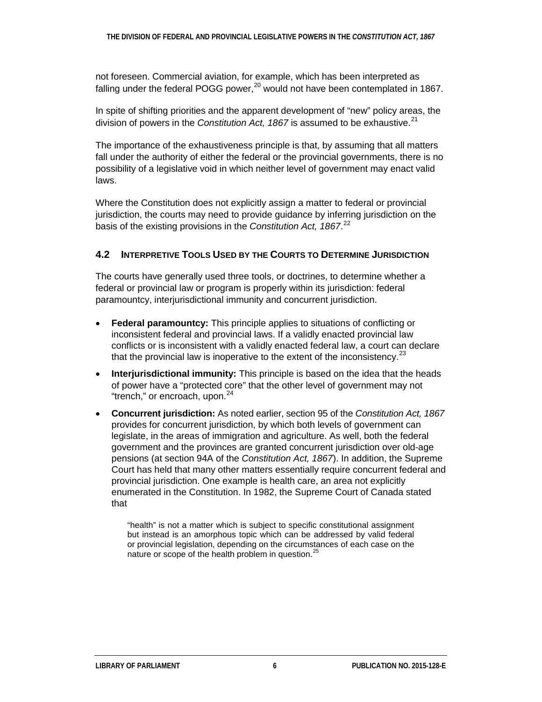not foreseen. Commercial aviation, for example, which has been interpreted as falling under the federal POGG power,  $20$  would not have been contemplated in 1867.

In spite of shifting priorities and the apparent development of "new" policy areas, the division of powers in the *Constitution Act, 1867* is assumed to be exhaustive.<sup>[21](#page-10-7)</sup>

The importance of the exhaustiveness principle is that, by assuming that all matters fall under the authority of either the federal or the provincial governments, there is no possibility of a legislative void in which neither level of government may enact valid laws.

Where the Constitution does not explicitly assign a matter to federal or provincial jurisdiction, the courts may need to provide guidance by inferring jurisdiction on the basis of the existing provisions in the *Constitution Act, 1867*. [22](#page-10-8)

#### **4.2 INTERPRETIVE TOOLS USED BY THE COURTS TO DETERMINE JURISDICTION**

The courts have generally used three tools, or doctrines, to determine whether a federal or provincial law or program is properly within its jurisdiction: federal paramountcy, interjurisdictional immunity and concurrent jurisdiction.

- **Federal paramountcy:** This principle applies to situations of conflicting or inconsistent federal and provincial laws. If a validly enacted provincial law conflicts or is inconsistent with a validly enacted federal law, a court can declare that the provincial law is inoperative to the extent of the inconsistency.  $2^3$
- **Interjurisdictional immunity:** This principle is based on the idea that the heads of power have a "protected core" that the other level of government may not "trench," or encroach, upon.<sup>[24](#page-10-10)</sup>
- **Concurrent jurisdiction:** As noted earlier, section 95 of the *Constitution Act, 1867* provides for concurrent jurisdiction, by which both levels of government can legislate, in the areas of immigration and agriculture. As well, both the federal government and the provinces are granted concurrent jurisdiction over old-age pensions (at section 94A of the *Constitution Act, 1867*). In addition, the Supreme Court has held that many other matters essentially require concurrent federal and provincial jurisdiction. One example is health care, an area not explicitly enumerated in the Constitution. In 1982, the Supreme Court of Canada stated that

"health" is not a matter which is subject to specific constitutional assignment but instead is an amorphous topic which can be addressed by valid federal or provincial legislation, depending on the circumstances of each case on the nature or scope of the health problem in question.<sup>[25](#page-11-0)</sup>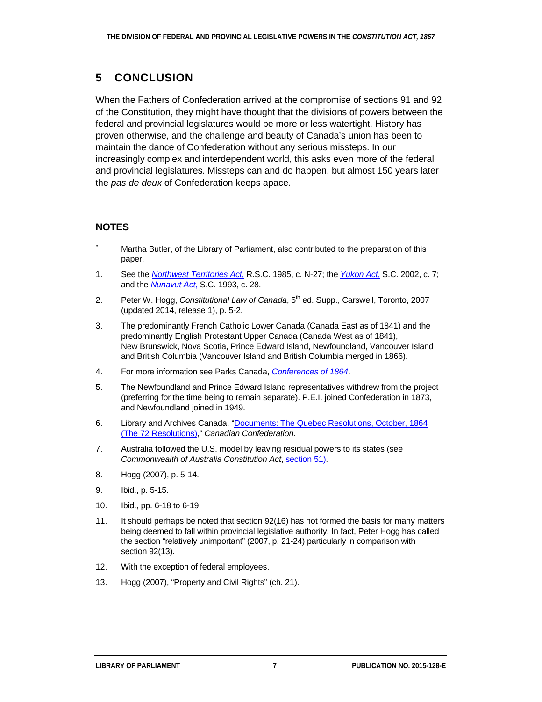### **5 CONCLUSION**

When the Fathers of Confederation arrived at the compromise of sections 91 and 92 of the Constitution, they might have thought that the divisions of powers between the federal and provincial legislatures would be more or less watertight. History has proven otherwise, and the challenge and beauty of Canada's union has been to maintain the dance of Confederation without any serious missteps. In our increasingly complex and interdependent world, this asks even more of the federal and provincial legislatures. Missteps can and do happen, but almost 150 years later the *pas de deux* of Confederation keeps apace.

#### **NOTES**

 $\overline{a}$ 

- <span id="page-9-0"></span>Martha Butler, of the Library of Parliament, also contributed to the preparation of this paper.
- <span id="page-9-1"></span>1. See the *[Northwest Territories Act](http://laws-lois.justice.gc.ca/eng/acts/N-27/index.html)*, R.S.C. 1985, c. N-27; the *[Yukon Act](http://laws.justice.gc.ca/eng/acts/Y-2.01/FullText.html)*, S.C. 2002, c. 7; and the *[Nunavut Act](http://laws-lois.justice.gc.ca/eng/acts/N-28.6/index.html)*, S.C. 1993, c. 28.
- <span id="page-9-2"></span>2. Peter W. Hogg, *Constitutional Law of Canada*, 5th ed. Supp., Carswell, Toronto, 2007 (updated 2014, release 1), p. 5-2.
- <span id="page-9-3"></span>3. The predominantly French Catholic Lower Canada (Canada East as of 1841) and the predominantly English Protestant Upper Canada (Canada West as of 1841), New Brunswick, Nova Scotia, Prince Edward Island, Newfoundland, Vancouver Island and British Columbia (Vancouver Island and British Columbia merged in 1866).
- <span id="page-9-4"></span>4. For more information see Parks Canada, *[Conferences of 1864](http://www.pc.gc.ca/eng/culture/1864/hist.aspx)*.
- <span id="page-9-5"></span>5. The Newfoundland and Prince Edward Island representatives withdrew from the project (preferring for the time being to remain separate). P.E.I. joined Confederation in 1873, and Newfoundland joined in 1949.
- <span id="page-9-6"></span>6. Library and Archives Canada, ["Documents: The Quebec Resolutions, October,](https://www.collectionscanada.gc.ca/confederation/023001-7104-e.html) 1864 (The 72 [Resolutions\),](https://www.collectionscanada.gc.ca/confederation/023001-7104-e.html)" *Canadian Confederation*.
- <span id="page-9-7"></span>7. Australia followed the U.S. model by leaving residual powers to its states (see *Commonwealth of Australia Constitution Act*, [section 51\)](http://www.austlii.edu.au/au/legis/cth/consol_act/coaca430/s51.html).
- <span id="page-9-8"></span>8. Hogg (2007), p. 5-14.
- <span id="page-9-9"></span>9. Ibid., p. 5-15.
- <span id="page-9-10"></span>10. Ibid., pp. 6-18 to 6-19.
- <span id="page-9-11"></span>11. It should perhaps be noted that section 92(16) has not formed the basis for many matters being deemed to fall within provincial legislative authority. In fact, Peter Hogg has called the section "relatively unimportant" (2007, p. 21-24) particularly in comparison with section 92(13).
- <span id="page-9-12"></span>12. With the exception of federal employees.
- <span id="page-9-13"></span>13. Hogg (2007), "Property and Civil Rights" (ch. 21).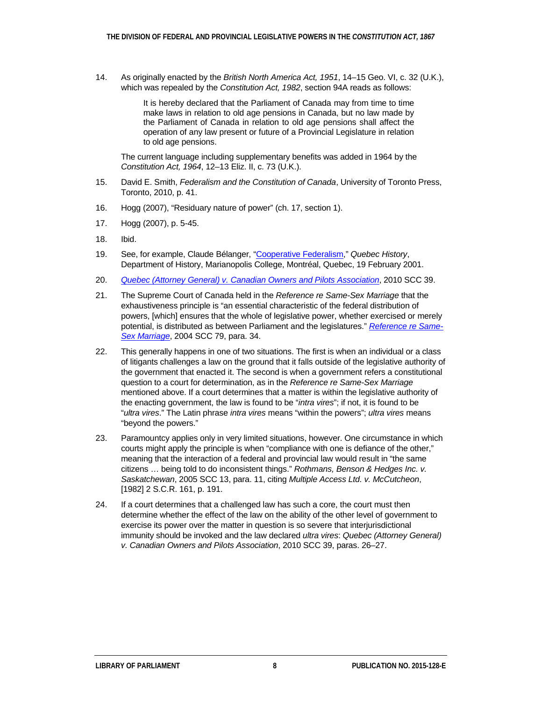<span id="page-10-0"></span>14. As originally enacted by the *British North America Act, 1951*, 14–15 Geo. VI, c. 32 (U.K.), which was repealed by the *Constitution Act, 1982*, section 94A reads as follows:

> It is hereby declared that the Parliament of Canada may from time to time make laws in relation to old age pensions in Canada, but no law made by the Parliament of Canada in relation to old age pensions shall affect the operation of any law present or future of a Provincial Legislature in relation to old age pensions.

The current language including supplementary benefits was added in 1964 by the *Constitution Act, 1964*, 12–13 Eliz. II, c. 73 (U.K.).

- <span id="page-10-1"></span>15. David E. Smith, *Federalism and the Constitution of Canada*, University of Toronto Press, Toronto, 2010, p. 41.
- <span id="page-10-2"></span>16. Hogg (2007), "Residuary nature of power" (ch. 17, section 1).
- <span id="page-10-3"></span>17. Hogg (2007), p. 5-45.
- <span id="page-10-4"></span>18. Ibid.
- <span id="page-10-5"></span>19. See, for example, Claude Bélanger, ["Cooperative](http://faculty.marianopolis.edu/c.belanger/quebechistory/federal/coop-fed.htm) Federalism," *Quebec History*, Department of History, Marianopolis College, Montréal, Quebec, 19 February 2001.
- <span id="page-10-6"></span>20. *[Quebec \(Attorney General\) v. Canadian Owners and Pilots Association](http://scc-csc.lexum.com/scc-csc/scc-csc/en/item/7881/index.do?r=AAAAAQAiInBlYWNlLCBvcmRlciBhbmQgZ29vZCBnb3Zlcm5tZW50IgAAAAAB)*, 2010 SCC 39.
- <span id="page-10-7"></span>21. The Supreme Court of Canada held in the *Reference re Same-Sex Marriage* that the exhaustiveness principle is "an essential characteristic of the federal distribution of powers, [which] ensures that the whole of legislative power, whether exercised or merely potential, is distributed as between Parliament and the legislatures." *[Reference re Same-](http://scc-csc.lexum.com/scc-csc/scc-csc/en/item/2196/index.do?r=AAAAAQAdInByaW5jaXBsZSBvZiBleGhhdXN0aXZlbmVzcyIAAAAAAQ)[Sex Marriage](http://scc-csc.lexum.com/scc-csc/scc-csc/en/item/2196/index.do?r=AAAAAQAdInByaW5jaXBsZSBvZiBleGhhdXN0aXZlbmVzcyIAAAAAAQ)*, 2004 SCC 79, para. 34.
- <span id="page-10-8"></span>22. This generally happens in one of two situations. The first is when an individual or a class of litigants challenges a law on the ground that it falls outside of the legislative authority of the government that enacted it. The second is when a government refers a constitutional question to a court for determination, as in the *Reference re Same-Sex Marriage* mentioned above. If a court determines that a matter is within the legislative authority of the enacting government, the law is found to be "*intra vires*"; if not, it is found to be "*ultra vires*." The Latin phrase *intra vires* means "within the powers"; *ultra vires* means "beyond the powers."
- <span id="page-10-9"></span>23. Paramountcy applies only in very limited situations, however. One circumstance in which courts might apply the principle is when "compliance with one is defiance of the other," meaning that the interaction of a federal and provincial law would result in "the same citizens … being told to do inconsistent things." *Rothmans, Benson & Hedges Inc. v. Saskatchewan*, 2005 SCC 13, para. 11, citing *Multiple Access Ltd. v. McCutcheon*, [1982] 2 S.C.R. 161, p. 191.
- <span id="page-10-10"></span>24. If a court determines that a challenged law has such a core, the court must then determine whether the effect of the law on the ability of the other level of government to exercise its power over the matter in question is so severe that interjurisdictional immunity should be invoked and the law declared *ultra vires*: *Quebec (Attorney General) v. Canadian Owners and Pilots Association*, 2010 SCC 39, paras. 26–27.